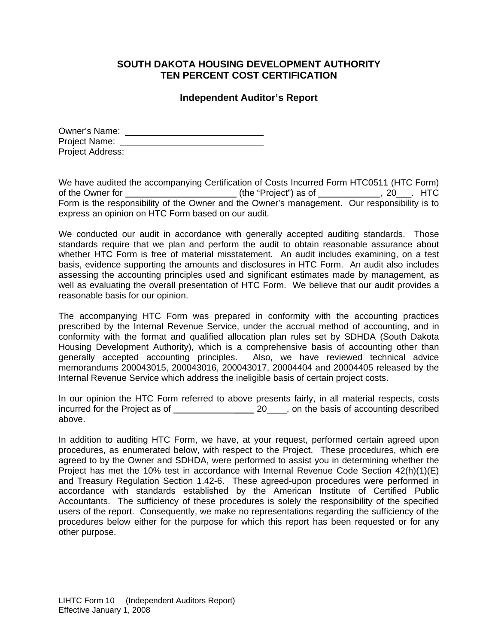## **SOUTH DAKOTA HOUSING DEVELOPMENT AUTHORITY TEN PERCENT COST CERTIFICATION**

## **Independent Auditor's Report**

| Owner's Name:    |  |
|------------------|--|
| Project Name:    |  |
| Project Address: |  |

We have audited the accompanying Certification of Costs Incurred Form HTC0511 (HTC Form) of the Owner for \_\_\_\_\_\_\_\_\_\_\_\_\_\_\_\_\_\_\_\_\_\_\_\_\_(the "Project") as of \_\_\_\_\_\_\_\_\_\_\_\_, 20\_\_\_. HTC Form is the responsibility of the Owner and the Owner's management. Our responsibility is to express an opinion on HTC Form based on our audit.

We conducted our audit in accordance with generally accepted auditing standards. Those standards require that we plan and perform the audit to obtain reasonable assurance about whether HTC Form is free of material misstatement. An audit includes examining, on a test basis, evidence supporting the amounts and disclosures in HTC Form. An audit also includes assessing the accounting principles used and significant estimates made by management, as well as evaluating the overall presentation of HTC Form. We believe that our audit provides a reasonable basis for our opinion.

The accompanying HTC Form was prepared in conformity with the accounting practices prescribed by the Internal Revenue Service, under the accrual method of accounting, and in conformity with the format and qualified allocation plan rules set by SDHDA (South Dakota Housing Development Authority), which is a comprehensive basis of accounting other than generally accepted accounting principles. Also, we have reviewed technical advice memorandums 200043015, 200043016, 200043017, 20004404 and 20004405 released by the Internal Revenue Service which address the ineligible basis of certain project costs.

In our opinion the HTC Form referred to above presents fairly, in all material respects, costs incurred for the Project as of \_\_\_\_ 20\_\_\_\_, on the basis of accounting described above.

In addition to auditing HTC Form, we have, at your request, performed certain agreed upon procedures, as enumerated below, with respect to the Project. These procedures, which ere agreed to by the Owner and SDHDA, were performed to assist you in determining whether the Project has met the 10% test in accordance with Internal Revenue Code Section 42(h)(1)(E) and Treasury Regulation Section 1.42-6. These agreed-upon procedures were performed in accordance with standards established by the American Institute of Certified Public Accountants. The sufficiency of these procedures is solely the responsibility of the specified users of the report. Consequently, we make no representations regarding the sufficiency of the procedures below either for the purpose for which this report has been requested or for any other purpose.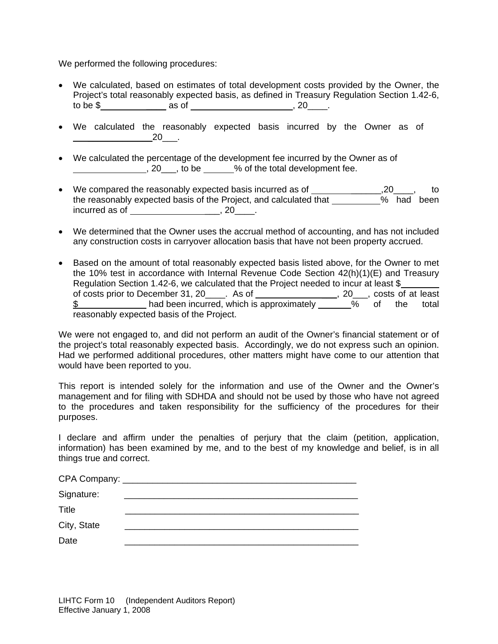We performed the following procedures:

- We calculated, based on estimates of total development costs provided by the Owner, the Project's total reasonably expected basis, as defined in Treasury Regulation Section 1.42-6, to be \$ \_\_\_\_ as of , 20\_\_\_\_.
- We calculated the reasonably expected basis incurred by the Owner as of  $20$  .
- We calculated the percentage of the development fee incurred by the Owner as of  $, 20$ , to be  $, 20$ , to be  $, 20$ , to be  $, 20$ ,  $, 20$ ,  $, 20$ ,  $, 20$ ,  $, 20$ ,  $, 20$ ,  $, 20$ ,  $, 20$ ,  $, 20$ ,  $, 20$ ,  $, 20$ ,  $, 20$ ,  $, 20$ ,  $, 20$ ,  $, 20$ ,  $, 20$ ,  $, 20$ ,  $, 20$ ,  $, 20$ ,  $, 20$ ,  $, 20$ ,  $, 20$ ,  $,$
- We compared the reasonably expected basis incurred as of \_\_\_\_\_\_\_\_\_\_\_\_\_\_\_\_\_,20\_\_\_\_, to the reasonably expected basis of the Project, and calculated that \_\_\_\_\_\_\_\_\_% had been incurred as of \_\_\_\_\_\_\_\_\_\_\_\_\_\_\_\_\_\_\_\_\_\_\_\_\_\_\_, 20\_\_\_\_\_.
- We determined that the Owner uses the accrual method of accounting, and has not included any construction costs in carryover allocation basis that have not been property accrued.
- Based on the amount of total reasonably expected basis listed above, for the Owner to met the 10% test in accordance with Internal Revenue Code Section 42(h)(1)(E) and Treasury Regulation Section 1.42-6, we calculated that the Project needed to incur at least \$ of costs prior to December 31, 20\_\_\_\_. As of \_\_\_\_\_\_\_\_\_\_\_\_\_\_\_\_\_, 20\_\_\_, costs of at least \$ had been incurred, which is approximately 1.1 more total the total reasonably expected basis of the Project.

We were not engaged to, and did not perform an audit of the Owner's financial statement or of the project's total reasonably expected basis. Accordingly, we do not express such an opinion. Had we performed additional procedures, other matters might have come to our attention that would have been reported to you.

This report is intended solely for the information and use of the Owner and the Owner's management and for filing with SDHDA and should not be used by those who have not agreed to the procedures and taken responsibility for the sufficiency of the procedures for their purposes.

I declare and affirm under the penalties of perjury that the claim (petition, application, information) has been examined by me, and to the best of my knowledge and belief, is in all things true and correct.

| Signature:  | <u> 1989 - Jan Samuel Barbara, martin a shekara 1980 - An an A</u> |
|-------------|--------------------------------------------------------------------|
| Title       |                                                                    |
| City, State |                                                                    |
| Date        |                                                                    |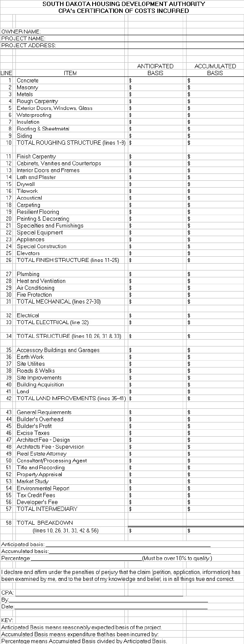|                 | SOUTH DAKOTA HOUSING DEVELOPMENT AUTHORITY<br>CPA's CERTIFICATION OF COSTS INCURRED |                    |              |
|-----------------|-------------------------------------------------------------------------------------|--------------------|--------------|
|                 |                                                                                     |                    |              |
|                 | OWNER NAME:                                                                         |                    |              |
|                 | PROJECT NAME:                                                                       |                    |              |
|                 | PROJECT ADDRESS:                                                                    |                    |              |
|                 |                                                                                     |                    |              |
|                 |                                                                                     |                    |              |
|                 |                                                                                     | <b>ANTICIPATED</b> | ACCUMULATED  |
| LINE            | <b>ITEM</b>                                                                         | <b>BASIS</b>       | <b>BASIS</b> |
| 1<br>2          | Concrete                                                                            | \$<br>\$           | \$           |
| 3               | Masonry<br>Metals                                                                   | \$                 | \$<br>\$     |
| 4               | Rough Carpentry                                                                     | \$                 | \$           |
| 5               | Exterior Doors, Windows, Glass                                                      | \$                 | \$           |
| 6               | Waterproofing                                                                       | \$                 | \$           |
| 7               | Insulation                                                                          | \$                 | \$           |
| 8               | Roofing & Sheetmetal                                                                | \$                 | \$           |
| 9               | Siding                                                                              | \$                 | \$           |
| 10              | TOTAL ROUGHING STRUCTURE (lines 1-9)                                                | \$                 | \$           |
|                 |                                                                                     |                    |              |
| 11              | <b>Finish Carpentry</b>                                                             | \$                 | \$           |
| 12              | Cabinets, Vanities and Countertops                                                  | \$                 | \$           |
| 13              | <b>Interior Doors and Frames</b>                                                    | \$                 | \$           |
| 14<br>15        | Lath and Plaster                                                                    | \$                 | \$           |
| 16              | Drywall<br>Tilework                                                                 | \$<br>\$           | \$<br>\$     |
| 17              | Acoustical                                                                          | \$                 | \$           |
| 18              | Carpeting                                                                           | \$                 | \$           |
| 19              | <b>Resilient Flooring</b>                                                           | \$                 | \$           |
| 20              | Painting & Decorating                                                               | \$                 | \$           |
| 21              | Specialties and Furnishings                                                         | \$                 | \$           |
| 22              | <b>Special Equipment</b>                                                            | \$                 | \$           |
| 23              | Appliances                                                                          | \$                 | \$           |
| 24              | <b>Special Construction</b>                                                         | \$                 | \$           |
| 25              | Elevators                                                                           | \$                 | \$           |
| 26              | TOTAL FINISH STRUCTURE (lines 11-25)                                                | \$                 | \$           |
|                 |                                                                                     |                    |              |
| 27<br>28        | Plumbing<br>Heat and Ventilation                                                    | \$<br>\$           | \$<br>\$     |
| 29              | Air Conditioning                                                                    | \$                 | \$           |
| 30 <sup>°</sup> | <b>Fire Protection</b>                                                              | \$                 | \$           |
| 31              | TOTAL MECHANICAL (lines 27-30)                                                      | \$                 | \$           |
|                 |                                                                                     |                    |              |
| 32              | Electrical                                                                          | \$                 | \$           |
| 33              | TOTAL ELECTRICAL (line 32)                                                          | \$                 | \$           |
|                 |                                                                                     |                    |              |
| 34              | TOTAL STRUCTURE (lines 10, 26, 31 & 33)                                             | \$                 | \$           |
|                 |                                                                                     |                    |              |
| 35<br>36        | Accessory Buildings and Garages<br>Earth Work                                       | \$<br>\$           | \$<br>\$     |
| 37              | <b>Site Utilities</b>                                                               | \$                 | \$           |
| 38              | Roads & Walks                                                                       | \$                 | \$           |
| 39              | Site Improvements                                                                   | \$                 | \$           |
| 40              | <b>Building Acquisition</b>                                                         | \$                 | \$           |
| 41              | Land                                                                                | \$                 | \$           |
| 42              | TOTAL LAND IMPROVEMENTS (lines 35-41)                                               | \$                 | \$           |
|                 |                                                                                     |                    |              |
| 43              | <b>General Requirements</b>                                                         | \$                 | \$           |
| 44              | Builder's Overhead                                                                  | \$                 | \$           |
| 45              | <b>Builder's Profit</b>                                                             | \$                 | \$           |
| 46<br>47        | <b>Excise Taxes</b>                                                                 | \$                 | \$           |
| 48              | Architect Fee - Design<br>Architects Fee - Supervision                              | \$<br>\$           | \$<br>\$     |
| 49              | Real Estate Attorney                                                                | \$                 | \$           |
| 50              | Consultant/Processing Agent                                                         | \$                 | \$           |
| 51              | <b>Title and Recording</b>                                                          | \$                 | \$           |
| 52              | Property Appraisal                                                                  | \$                 | \$           |
| 53              | Market Study                                                                        | \$                 | \$           |
|                 |                                                                                     |                    |              |

| 54    | Environmental Report                                                                                        | \$<br>\$                       |  |
|-------|-------------------------------------------------------------------------------------------------------------|--------------------------------|--|
| 55    | Tax Credit Fees                                                                                             | \$<br>\$                       |  |
| 56    | Developer's Fee                                                                                             | \$<br>\$                       |  |
| 57    | TOTAL INTERMEDIARY                                                                                          | \$<br>\$                       |  |
| 58    | TOTAL BREAKDOWN                                                                                             |                                |  |
|       | (lines 10, 26, 31, 33, 42 & 56)                                                                             | \$<br>\$                       |  |
|       | Anticipated basis: _________________                                                                        |                                |  |
|       | Accumulated basis:_________                                                                                 |                                |  |
|       | Percentage: Manager and Manager and Manager and Manager and Manager and Manager and Manager and Manager and | (Must be over 10% to qualify.) |  |
|       |                                                                                                             |                                |  |
|       | I declare and affirm under the penalties of perjury that the claim (petition, application, information) has |                                |  |
|       | been examined by me, and to the best of my knowledge and belief, is in all things true and correct.         |                                |  |
|       |                                                                                                             |                                |  |
| CPA:  |                                                                                                             |                                |  |
| By:   |                                                                                                             |                                |  |
| Date: |                                                                                                             |                                |  |
|       |                                                                                                             |                                |  |
| KEY:  |                                                                                                             |                                |  |
|       | Anticipated Basis means reasonably expected basis of the project.                                           |                                |  |
|       | Accumulated Basis means expenditure that has been incurred by:                                              |                                |  |
|       | Percentage means Accumulated Basis divided by Anticipated Basis.                                            |                                |  |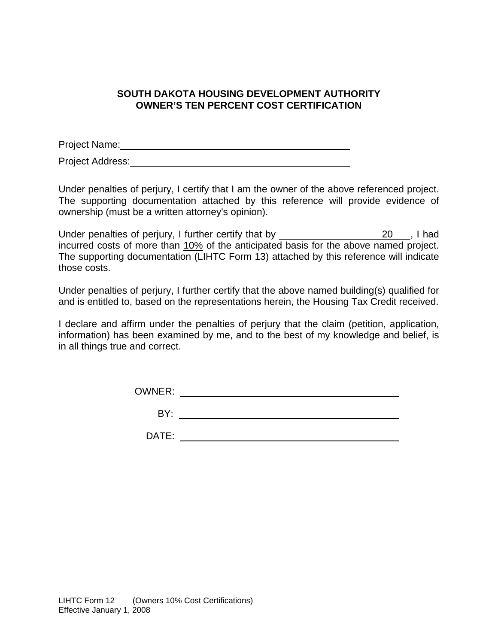## **SOUTH DAKOTA HOUSING DEVELOPMENT AUTHORITY OWNER'S TEN PERCENT COST CERTIFICATION**

Project Name: \_\_\_\_\_\_\_\_\_\_\_\_\_\_\_\_ Project Address: **Example 20** For all the set of  $\alpha$ 

Under penalties of perjury, I certify that I am the owner of the above referenced project. The supporting documentation attached by this reference will provide evidence of ownership (must be a written attorney's opinion).

Under penalties of perjury, I further certify that by \_\_\_\_\_\_\_\_\_\_\_\_\_\_\_\_\_\_\_20\_\_ , I had incurred costs of more than 10% of the anticipated basis for the above named project. The supporting documentation (LIHTC Form 13) attached by this reference will indicate those costs.

Under penalties of perjury, I further certify that the above named building(s) qualified for and is entitled to, based on the representations herein, the Housing Tax Credit received.

I declare and affirm under the penalties of perjury that the claim (petition, application, information) has been examined by me, and to the best of my knowledge and belief, is in all things true and correct.

| <b>OWNER:</b> |  |
|---------------|--|
| BY:           |  |
| . .           |  |